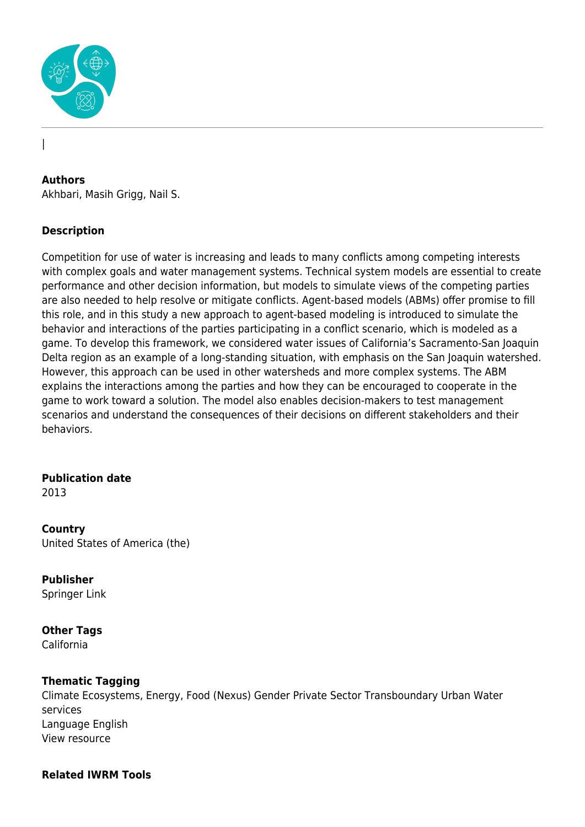

#### **Authors**

|

Akhbari, Masih Grigg, Nail S.

#### **Description**

Competition for use of water is increasing and leads to many conflicts among competing interests with complex goals and water management systems. Technical system models are essential to create performance and other decision information, but models to simulate views of the competing parties are also needed to help resolve or mitigate conflicts. Agent-based models (ABMs) offer promise to fill this role, and in this study a new approach to agent-based modeling is introduced to simulate the behavior and interactions of the parties participating in a conflict scenario, which is modeled as a game. To develop this framework, we considered water issues of California's Sacramento-San Joaquin Delta region as an example of a long-standing situation, with emphasis on the San Joaquin watershed. However, this approach can be used in other watersheds and more complex systems. The ABM explains the interactions among the parties and how they can be encouraged to cooperate in the game to work toward a solution. The model also enables decision-makers to test management scenarios and understand the consequences of their decisions on different stakeholders and their behaviors.

## **Publication date**

2013

#### **Country**

United States of America (the)

#### **Publisher**

Springer Link

## **Other Tags**

California

## **Thematic Tagging**

Climate Ecosystems, Energy, Food (Nexus) Gender Private Sector Transboundary Urban Water services Language English View resource

#### **Related IWRM Tools**